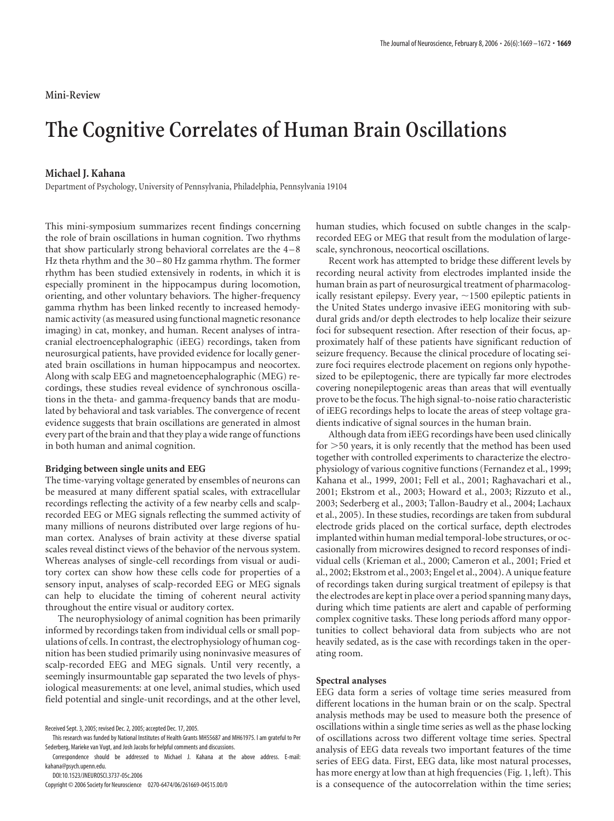# **The Cognitive Correlates of Human Brain Oscillations**

# **Michael J. Kahana**

Department of Psychology, University of Pennsylvania, Philadelphia, Pennsylvania 19104

This mini-symposium summarizes recent findings concerning the role of brain oscillations in human cognition. Two rhythms that show particularly strong behavioral correlates are the  $4-8$ Hz theta rhythm and the 30 –80 Hz gamma rhythm. The former rhythm has been studied extensively in rodents, in which it is especially prominent in the hippocampus during locomotion, orienting, and other voluntary behaviors. The higher-frequency gamma rhythm has been linked recently to increased hemodynamic activity (as measured using functional magnetic resonance imaging) in cat, monkey, and human. Recent analyses of intracranial electroencephalographic (iEEG) recordings, taken from neurosurgical patients, have provided evidence for locally generated brain oscillations in human hippocampus and neocortex. Along with scalp EEG and magnetoencephalographic (MEG) recordings, these studies reveal evidence of synchronous oscillations in the theta- and gamma-frequency bands that are modulated by behavioral and task variables. The convergence of recent evidence suggests that brain oscillations are generated in almost every part of the brain and that they play a wide range of functions in both human and animal cognition.

#### **Bridging between single units and EEG**

The time-varying voltage generated by ensembles of neurons can be measured at many different spatial scales, with extracellular recordings reflecting the activity of a few nearby cells and scalprecorded EEG or MEG signals reflecting the summed activity of many millions of neurons distributed over large regions of human cortex. Analyses of brain activity at these diverse spatial scales reveal distinct views of the behavior of the nervous system. Whereas analyses of single-cell recordings from visual or auditory cortex can show how these cells code for properties of a sensory input, analyses of scalp-recorded EEG or MEG signals can help to elucidate the timing of coherent neural activity throughout the entire visual or auditory cortex.

The neurophysiology of animal cognition has been primarily informed by recordings taken from individual cells or small populations of cells. In contrast, the electrophysiology of human cognition has been studied primarily using noninvasive measures of scalp-recorded EEG and MEG signals. Until very recently, a seemingly insurmountable gap separated the two levels of physiological measurements: at one level, animal studies, which used field potential and single-unit recordings, and at the other level,

DOI:10.1523/JNEUROSCI.3737-05c.2006

Copyright © 2006 Society for Neuroscience 0270-6474/06/261669-04\$15.00/0

human studies, which focused on subtle changes in the scalprecorded EEG or MEG that result from the modulation of largescale, synchronous, neocortical oscillations.

Recent work has attempted to bridge these different levels by recording neural activity from electrodes implanted inside the human brain as part of neurosurgical treatment of pharmacologically resistant epilepsy. Every year,  $\sim$  1500 epileptic patients in the United States undergo invasive iEEG monitoring with subdural grids and/or depth electrodes to help localize their seizure foci for subsequent resection. After resection of their focus, approximately half of these patients have significant reduction of seizure frequency. Because the clinical procedure of locating seizure foci requires electrode placement on regions only hypothesized to be epileptogenic, there are typically far more electrodes covering nonepileptogenic areas than areas that will eventually prove to be the focus. The high signal-to-noise ratio characteristic of iEEG recordings helps to locate the areas of steep voltage gradients indicative of signal sources in the human brain.

Although data from iEEG recordings have been used clinically for >50 years, it is only recently that the method has been used together with controlled experiments to characterize the electrophysiology of various cognitive functions (Fernandez et al., 1999; Kahana et al., 1999, 2001; Fell et al., 2001; Raghavachari et al., 2001; Ekstrom et al., 2003; Howard et al., 2003; Rizzuto et al., 2003; Sederberg et al., 2003; Tallon-Baudry et al., 2004; Lachaux et al., 2005). In these studies, recordings are taken from subdural electrode grids placed on the cortical surface, depth electrodes implanted within human medial temporal-lobe structures, or occasionally from microwires designed to record responses of individual cells (Krieman et al., 2000; Cameron et al., 2001; Fried et al., 2002; Ekstrom et al., 2003; Engel et al., 2004). A unique feature of recordings taken during surgical treatment of epilepsy is that the electrodes are kept in place over a period spanning many days, during which time patients are alert and capable of performing complex cognitive tasks. These long periods afford many opportunities to collect behavioral data from subjects who are not heavily sedated, as is the case with recordings taken in the operating room.

## **Spectral analyses**

EEG data form a series of voltage time series measured from different locations in the human brain or on the scalp. Spectral analysis methods may be used to measure both the presence of oscillations within a single time series as well as the phase locking of oscillations across two different voltage time series. Spectral analysis of EEG data reveals two important features of the time series of EEG data. First, EEG data, like most natural processes, has more energy at low than at high frequencies (Fig. 1, left). This is a consequence of the autocorrelation within the time series;

Received Sept. 3, 2005; revised Dec. 2, 2005; accepted Dec. 17, 2005.

This research was funded by National Institutes of Health Grants MH55687 and MH61975. I am grateful to Per Sederberg, Marieke van Vugt, and Josh Jacobs for helpful comments and discussions.

Correspondence should be addressed to Michael J. Kahana at the above address. E-mail: kahana@psych.upenn.edu.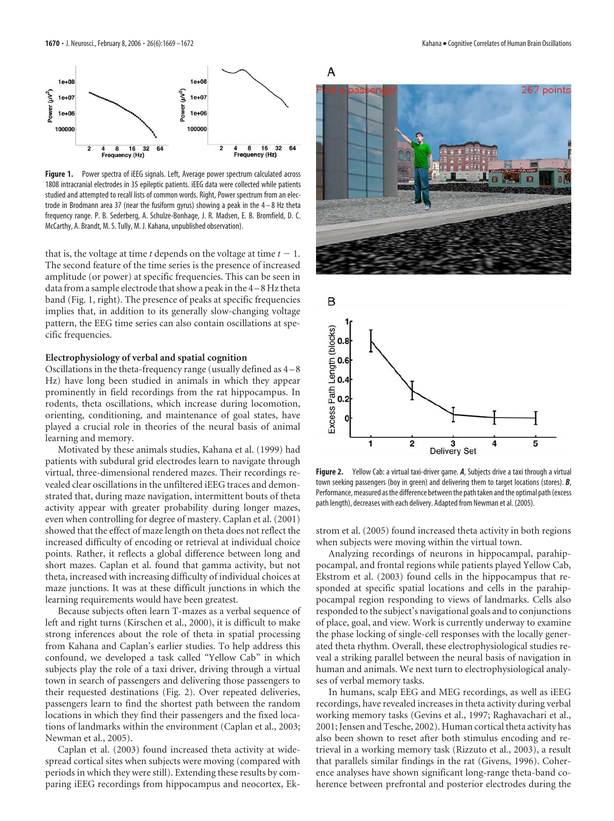

Figure 1. Power spectra of iEEG signals. Left, Average power spectrum calculated across 1808 intracranial electrodes in 35 epileptic patients. iEEG data were collected while patients studied and attempted to recall lists of common words. Right, Power spectrum from an electrode in Brodmann area 37 (near the fusiform gyrus) showing a peak in the  $4-8$  Hz theta frequency range. P. B. Sederberg, A. Schulze-Bonhage, J. R. Madsen, E. B. Bromfield, D. C. McCarthy, A. Brandt, M. S. Tully, M. J. Kahana, unpublished observation).

that is, the voltage at time *t* depends on the voltage at time  $t - 1$ . The second feature of the time series is the presence of increased amplitude (or power) at specific frequencies. This can be seen in data from a sample electrode that show a peak in the 4 –8 Hz theta band (Fig. 1, right). The presence of peaks at specific frequencies implies that, in addition to its generally slow-changing voltage pattern, the EEG time series can also contain oscillations at specific frequencies.

#### **Electrophysiology of verbal and spatial cognition**

Oscillations in the theta-frequency range (usually defined as 4 –8 Hz) have long been studied in animals in which they appear prominently in field recordings from the rat hippocampus. In rodents, theta oscillations, which increase during locomotion, orienting, conditioning, and maintenance of goal states, have played a crucial role in theories of the neural basis of animal learning and memory.

Motivated by these animals studies, Kahana et al. (1999) had patients with subdural grid electrodes learn to navigate through virtual, three-dimensional rendered mazes. Their recordings revealed clear oscillations in the unfiltered iEEG traces and demonstrated that, during maze navigation, intermittent bouts of theta activity appear with greater probability during longer mazes, even when controlling for degree of mastery. Caplan et al. (2001) showed that the effect of maze length on theta does not reflect the increased difficulty of encoding or retrieval at individual choice points. Rather, it reflects a global difference between long and short mazes. Caplan et al. found that gamma activity, but not theta, increased with increasing difficulty of individual choices at maze junctions. It was at these difficult junctions in which the learning requirements would have been greatest.

Because subjects often learn T-mazes as a verbal sequence of left and right turns (Kirschen et al., 2000), it is difficult to make strong inferences about the role of theta in spatial processing from Kahana and Caplan's earlier studies. To help address this confound, we developed a task called "Yellow Cab" in which subjects play the role of a taxi driver, driving through a virtual town in search of passengers and delivering those passengers to their requested destinations (Fig. 2). Over repeated deliveries, passengers learn to find the shortest path between the random locations in which they find their passengers and the fixed locations of landmarks within the environment (Caplan et al., 2003; Newman et al., 2005).

Caplan et al. (2003) found increased theta activity at widespread cortical sites when subjects were moving (compared with periods in which they were still). Extending these results by comparing iEEG recordings from hippocampus and neocortex, Ek-





**Figure 2.** Yellow Cab: a virtual taxi-driver game. *A*, Subjects drive a taxi through a virtual town seeking passengers (boy in green) and delivering them to target locations (stores). *B*, Performance, measured as the difference between the path taken and the optimal path (excess path length), decreases with each delivery. Adapted from Newman et al. (2005).

strom et al. (2005) found increased theta activity in both regions when subjects were moving within the virtual town.

Analyzing recordings of neurons in hippocampal, parahippocampal, and frontal regions while patients played Yellow Cab, Ekstrom et al. (2003) found cells in the hippocampus that responded at specific spatial locations and cells in the parahippocampal region responding to views of landmarks. Cells also responded to the subject's navigational goals and to conjunctions of place, goal, and view. Work is currently underway to examine the phase locking of single-cell responses with the locally generated theta rhythm. Overall, these electrophysiological studies reveal a striking parallel between the neural basis of navigation in human and animals. We next turn to electrophysiological analyses of verbal memory tasks.

In humans, scalp EEG and MEG recordings, as well as iEEG recordings, have revealed increases in theta activity during verbal working memory tasks (Gevins et al., 1997; Raghavachari et al., 2001; Jensen and Tesche, 2002). Human cortical theta activity has also been shown to reset after both stimulus encoding and retrieval in a working memory task (Rizzuto et al., 2003), a result that parallels similar findings in the rat (Givens, 1996). Coherence analyses have shown significant long-range theta-band coherence between prefrontal and posterior electrodes during the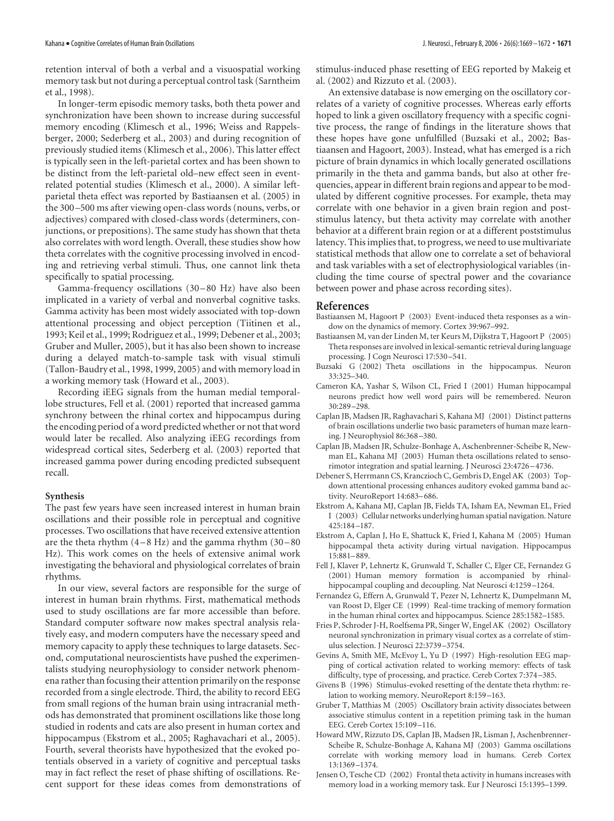retention interval of both a verbal and a visuospatial working memory task but not during a perceptual control task (Sarntheim et al., 1998).

In longer-term episodic memory tasks, both theta power and synchronization have been shown to increase during successful memory encoding (Klimesch et al., 1996; Weiss and Rappelsberger, 2000; Sederberg et al., 2003) and during recognition of previously studied items (Klimesch et al., 2006). This latter effect is typically seen in the left-parietal cortex and has been shown to be distinct from the left-parietal old–new effect seen in eventrelated potential studies (Klimesch et al., 2000). A similar leftparietal theta effect was reported by Bastiaansen et al. (2005) in the 300 –500 ms after viewing open-class words (nouns, verbs, or adjectives) compared with closed-class words (determiners, conjunctions, or prepositions). The same study has shown that theta also correlates with word length. Overall, these studies show how theta correlates with the cognitive processing involved in encoding and retrieving verbal stimuli. Thus, one cannot link theta specifically to spatial processing.

Gamma-frequency oscillations (30 –80 Hz) have also been implicated in a variety of verbal and nonverbal cognitive tasks. Gamma activity has been most widely associated with top-down attentional processing and object perception (Tiitinen et al., 1993; Keil et al., 1999; Rodriguez et al., 1999; Debener et al., 2003; Gruber and Muller, 2005), but it has also been shown to increase during a delayed match-to-sample task with visual stimuli (Tallon-Baudry et al., 1998, 1999, 2005) and with memory load in a working memory task (Howard et al., 2003).

Recording iEEG signals from the human medial temporallobe structures, Fell et al. (2001) reported that increased gamma synchrony between the rhinal cortex and hippocampus during the encoding period of a word predicted whether or not that word would later be recalled. Also analyzing iEEG recordings from widespread cortical sites, Sederberg et al. (2003) reported that increased gamma power during encoding predicted subsequent recall.

## **Synthesis**

The past few years have seen increased interest in human brain oscillations and their possible role in perceptual and cognitive processes. Two oscillations that have received extensive attention are the theta rhythm  $(4-8 \text{ Hz})$  and the gamma rhythm  $(30-80 \text{ Hz})$ Hz). This work comes on the heels of extensive animal work investigating the behavioral and physiological correlates of brain rhythms.

In our view, several factors are responsible for the surge of interest in human brain rhythms. First, mathematical methods used to study oscillations are far more accessible than before. Standard computer software now makes spectral analysis relatively easy, and modern computers have the necessary speed and memory capacity to apply these techniques to large datasets. Second, computational neuroscientists have pushed the experimentalists studying neurophysiology to consider network phenomena rather than focusing their attention primarily on the response recorded from a single electrode. Third, the ability to record EEG from small regions of the human brain using intracranial methods has demonstrated that prominent oscillations like those long studied in rodents and cats are also present in human cortex and hippocampus (Ekstrom et al., 2005; Raghavachari et al., 2005). Fourth, several theorists have hypothesized that the evoked potentials observed in a variety of cognitive and perceptual tasks may in fact reflect the reset of phase shifting of oscillations. Recent support for these ideas comes from demonstrations of stimulus-induced phase resetting of EEG reported by Makeig et al. (2002) and Rizzuto et al. (2003).

An extensive database is now emerging on the oscillatory correlates of a variety of cognitive processes. Whereas early efforts hoped to link a given oscillatory frequency with a specific cognitive process, the range of findings in the literature shows that these hopes have gone unfulfilled (Buzsaki et al., 2002; Bastiaansen and Hagoort, 2003). Instead, what has emerged is a rich picture of brain dynamics in which locally generated oscillations primarily in the theta and gamma bands, but also at other frequencies, appear in different brain regions and appear to be modulated by different cognitive processes. For example, theta may correlate with one behavior in a given brain region and poststimulus latency, but theta activity may correlate with another behavior at a different brain region or at a different poststimulus latency. This implies that, to progress, we need to use multivariate statistical methods that allow one to correlate a set of behavioral and task variables with a set of electrophysiological variables (including the time course of spectral power and the covariance between power and phase across recording sites).

#### **References**

- Bastiaansen M, Hagoort P (2003) Event-induced theta responses as a window on the dynamics of memory. Cortex 39:967–992.
- Bastiaansen M, van der Linden M, ter Keurs M, Dijkstra T, Hagoort P (2005) Theta responses are involved in lexical-semantic retrieval during language processing. J Cogn Neurosci 17:530 –541.
- Buzsaki G (2002) Theta oscillations in the hippocampus. Neuron 33:325–340.
- Cameron KA, Yashar S, Wilson CL, Fried I (2001) Human hippocampal neurons predict how well word pairs will be remembered. Neuron 30:289 –298.
- Caplan JB, Madsen JR, Raghavachari S, Kahana MJ (2001) Distinct patterns of brain oscillations underlie two basic parameters of human maze learning. J Neurophysiol 86:368 –380.
- Caplan JB, Madsen JR, Schulze-Bonhage A, Aschenbrenner-Scheibe R, Newman EL, Kahana MJ (2003) Human theta oscillations related to sensorimotor integration and spatial learning. J Neurosci 23:4726 –4736.
- Debener S, Herrmann CS, Kranczioch C, Gembris D, Engel AK (2003) Topdown attentional processing enhances auditory evoked gamma band activity. NeuroReport 14:683–686.
- Ekstrom A, Kahana MJ, Caplan JB, Fields TA, Isham EA, Newman EL, Fried I (2003) Cellular networks underlying human spatial navigation. Nature 425:184 –187.
- Ekstrom A, Caplan J, Ho E, Shattuck K, Fried I, Kahana M (2005) Human hippocampal theta activity during virtual navigation. Hippocampus 15:881–889.
- Fell J, Klaver P, Lehnertz K, Grunwald T, Schaller C, Elger CE, Fernandez G (2001) Human memory formation is accompanied by rhinalhippocampal coupling and decoupling. Nat Neurosci 4:1259 –1264.
- Fernandez G, Effern A, Grunwald T, Pezer N, Lehnertz K, Dumpelmann M, van Roost D, Elger CE (1999) Real-time tracking of memory formation in the human rhinal cortex and hippocampus. Science 285:1582–1585.
- Fries P, Schroder J-H, Roelfsema PR, Singer W, Engel AK (2002) Oscillatory neuronal synchronization in primary visual cortex as a correlate of stimulus selection. J Neurosci 22:3739 –3754.
- Gevins A, Smith ME, McEvoy L, Yu D (1997) High-resolution EEG mapping of cortical activation related to working memory: effects of task difficulty, type of processing, and practice. Cereb Cortex 7:374 –385.
- Givens B (1996) Stimulus-evoked resetting of the dentate theta rhythm: relation to working memory. NeuroReport 8:159 –163.
- Gruber T, Matthias M (2005) Oscillatory brain activity dissociates between associative stimulus content in a repetition priming task in the human EEG. Cereb Cortex 15:109 –116.
- Howard MW, Rizzuto DS, Caplan JB, Madsen JR, Lisman J, Aschenbrenner-Scheibe R, Schulze-Bonhage A, Kahana MJ (2003) Gamma oscillations correlate with working memory load in humans. Cereb Cortex 13:1369 –1374.
- Jensen O, Tesche CD (2002) Frontal theta activity in humans increases with memory load in a working memory task. Eur J Neurosci 15:1395–1399.